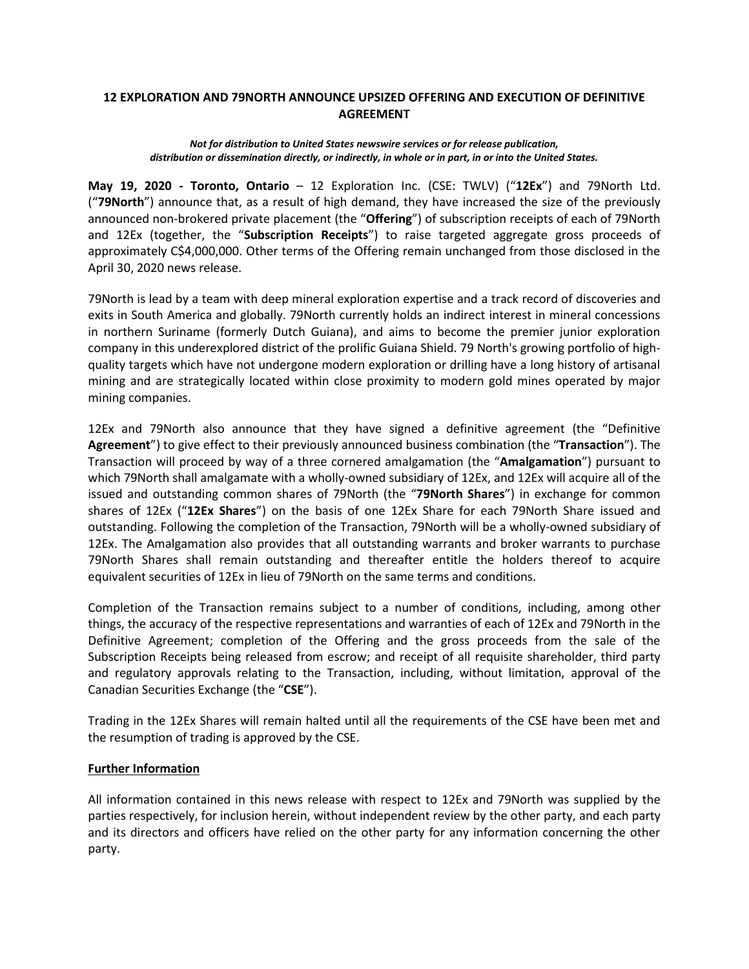## **12 EXPLORATION AND 79NORTH ANNOUNCE UPSIZED OFFERING AND EXECUTION OF DEFINITIVE AGREEMENT**

## *Not for distribution to United States newswire services or for release publication, distribution or dissemination directly, or indirectly, in whole or in part, in or into the United States.*

**May 19, 2020 - Toronto, Ontario** – 12 Exploration Inc. (CSE: TWLV) ("**12Ex**") and 79North Ltd. ("**79North**") announce that, as a result of high demand, they have increased the size of the previously announced non-brokered private placement (the "**Offering**") of subscription receipts of each of 79North and 12Ex (together, the "**Subscription Receipts**") to raise targeted aggregate gross proceeds of approximately C\$4,000,000. Other terms of the Offering remain unchanged from those disclosed in the April 30, 2020 news release.

79North is lead by a team with deep mineral exploration expertise and a track record of discoveries and exits in South America and globally. 79North currently holds an indirect interest in mineral concessions in northern Suriname (formerly Dutch Guiana), and aims to become the premier junior exploration company in this underexplored district of the prolific Guiana Shield. 79 North's growing portfolio of highquality targets which have not undergone modern exploration or drilling have a long history of artisanal mining and are strategically located within close proximity to modern gold mines operated by major mining companies.

12Ex and 79North also announce that they have signed a definitive agreement (the "Definitive **Agreement**") to give effect to their previously announced business combination (the "**Transaction**"). The Transaction will proceed by way of a three cornered amalgamation (the "**Amalgamation**") pursuant to which 79North shall amalgamate with a wholly-owned subsidiary of 12Ex, and 12Ex will acquire all of the issued and outstanding common shares of 79North (the "**79North Shares**") in exchange for common shares of 12Ex ("**12Ex Shares**") on the basis of one 12Ex Share for each 79North Share issued and outstanding. Following the completion of the Transaction, 79North will be a wholly-owned subsidiary of 12Ex. The Amalgamation also provides that all outstanding warrants and broker warrants to purchase 79North Shares shall remain outstanding and thereafter entitle the holders thereof to acquire equivalent securities of 12Ex in lieu of 79North on the same terms and conditions.

Completion of the Transaction remains subject to a number of conditions, including, among other things, the accuracy of the respective representations and warranties of each of 12Ex and 79North in the Definitive Agreement; completion of the Offering and the gross proceeds from the sale of the Subscription Receipts being released from escrow; and receipt of all requisite shareholder, third party and regulatory approvals relating to the Transaction, including, without limitation, approval of the Canadian Securities Exchange (the "**CSE**").

Trading in the 12Ex Shares will remain halted until all the requirements of the CSE have been met and the resumption of trading is approved by the CSE.

## **Further Information**

All information contained in this news release with respect to 12Ex and 79North was supplied by the parties respectively, for inclusion herein, without independent review by the other party, and each party and its directors and officers have relied on the other party for any information concerning the other party.